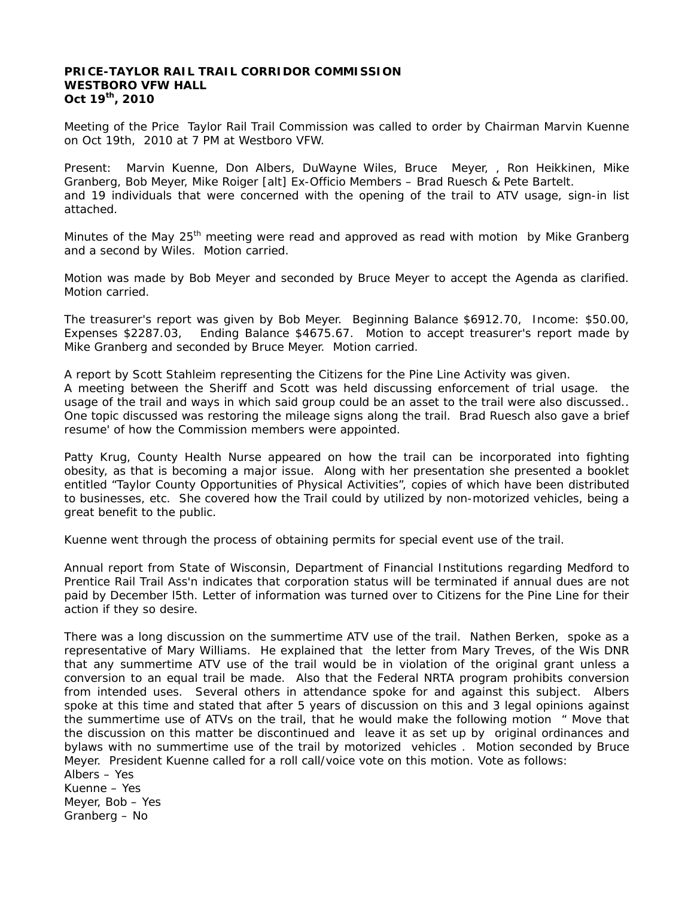#### **PRICE-TAYLOR RAIL TRAIL CORRIDOR COMMISSION WESTBORO VFW HALL Oct 19th, 2010**

Meeting of the Price Taylor Rail Trail Commission was called to order by Chairman Marvin Kuenne on Oct 19th, 2010 at 7 PM at Westboro VFW.

Present: Marvin Kuenne, Don Albers, DuWayne Wiles, Bruce Meyer, , Ron Heikkinen, Mike Granberg, Bob Meyer, Mike Roiger [alt] Ex-Officio Members – Brad Ruesch & Pete Bartelt. and 19 individuals that were concerned with the opening of the trail to ATV usage, sign-in list attached.

Minutes of the May 25<sup>th</sup> meeting were read and approved as read with motion by Mike Granberg and a second by Wiles. Motion carried.

Motion was made by Bob Meyer and seconded by Bruce Meyer to accept the Agenda as clarified. Motion carried.

The treasurer's report was given by Bob Meyer. Beginning Balance \$6912.70, Income: \$50.00, Expenses \$2287.03, Ending Balance \$4675.67. Motion to accept treasurer's report made by Mike Granberg and seconded by Bruce Meyer. Motion carried.

A report by Scott Stahleim representing the Citizens for the Pine Line Activity was given.

A meeting between the Sheriff and Scott was held discussing enforcement of trial usage. the usage of the trail and ways in which said group could be an asset to the trail were also discussed.. One topic discussed was restoring the mileage signs along the trail. Brad Ruesch also gave a brief resume' of how the Commission members were appointed.

Patty Krug, County Health Nurse appeared on how the trail can be incorporated into fighting obesity, as that is becoming a major issue. Along with her presentation she presented a booklet entitled "Taylor County Opportunities of Physical Activities", copies of which have been distributed to businesses, etc. She covered how the Trail could by utilized by non-motorized vehicles, being a great benefit to the public.

Kuenne went through the process of obtaining permits for special event use of the trail.

Annual report from State of Wisconsin, Department of Financial Institutions regarding Medford to Prentice Rail Trail Ass'n indicates that corporation status will be terminated if annual dues are not paid by December l5th. Letter of information was turned over to Citizens for the Pine Line for their action if they so desire.

There was a long discussion on the summertime ATV use of the trail. Nathen Berken, spoke as a representative of Mary Williams. He explained that the letter from Mary Treves, of the Wis DNR that any summertime ATV use of the trail would be in violation of the original grant unless a conversion to an equal trail be made. Also that the Federal NRTA program prohibits conversion from intended uses. Several others in attendance spoke for and against this subject. Albers spoke at this time and stated that after 5 years of discussion on this and 3 legal opinions against the summertime use of ATVs on the trail, that he would make the following motion " Move that the discussion on this matter be discontinued and leave it as set up by original ordinances and bylaws with no summertime use of the trail by motorized vehicles . Motion seconded by Bruce Meyer. President Kuenne called for a roll call/voice vote on this motion. Vote as follows: Albers – Yes Kuenne – Yes

Meyer, Bob – Yes Granberg – No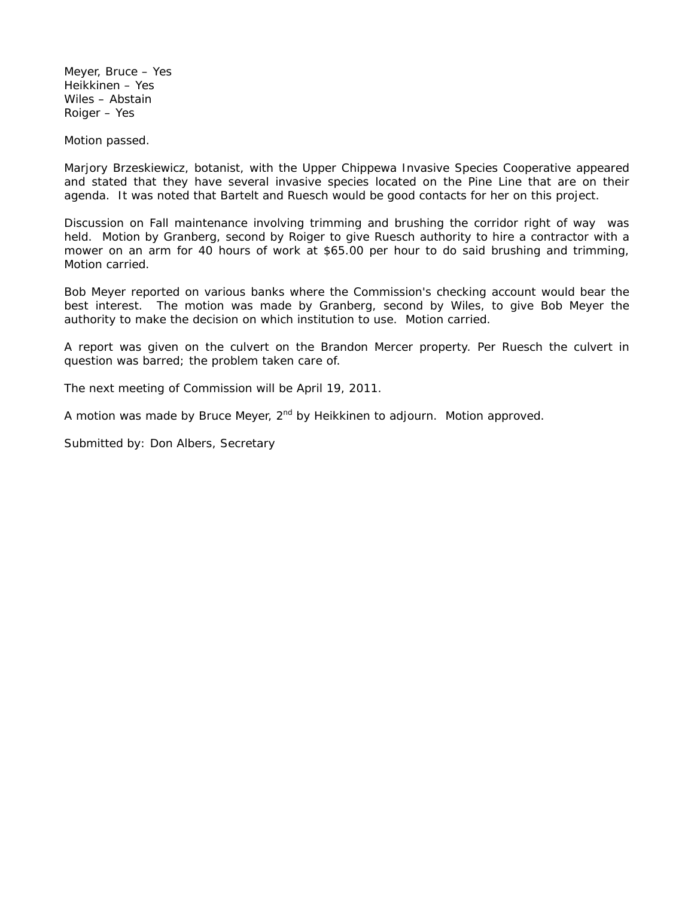Meyer, Bruce – Yes Heikkinen – Yes Wiles – Abstain Roiger – Yes

Motion passed.

Marjory Brzeskiewicz, botanist, with the Upper Chippewa Invasive Species Cooperative appeared and stated that they have several invasive species located on the Pine Line that are on their agenda. It was noted that Bartelt and Ruesch would be good contacts for her on this project.

Discussion on Fall maintenance involving trimming and brushing the corridor right of way was held. Motion by Granberg, second by Roiger to give Ruesch authority to hire a contractor with a mower on an arm for 40 hours of work at \$65.00 per hour to do said brushing and trimming, Motion carried.

Bob Meyer reported on various banks where the Commission's checking account would bear the best interest. The motion was made by Granberg, second by Wiles, to give Bob Meyer the authority to make the decision on which institution to use. Motion carried.

A report was given on the culvert on the Brandon Mercer property. Per Ruesch the culvert in question was barred; the problem taken care of.

The next meeting of Commission will be April 19, 2011.

A motion was made by Bruce Meyer,  $2^{nd}$  by Heikkinen to adjourn. Motion approved.

Submitted by: Don Albers, Secretary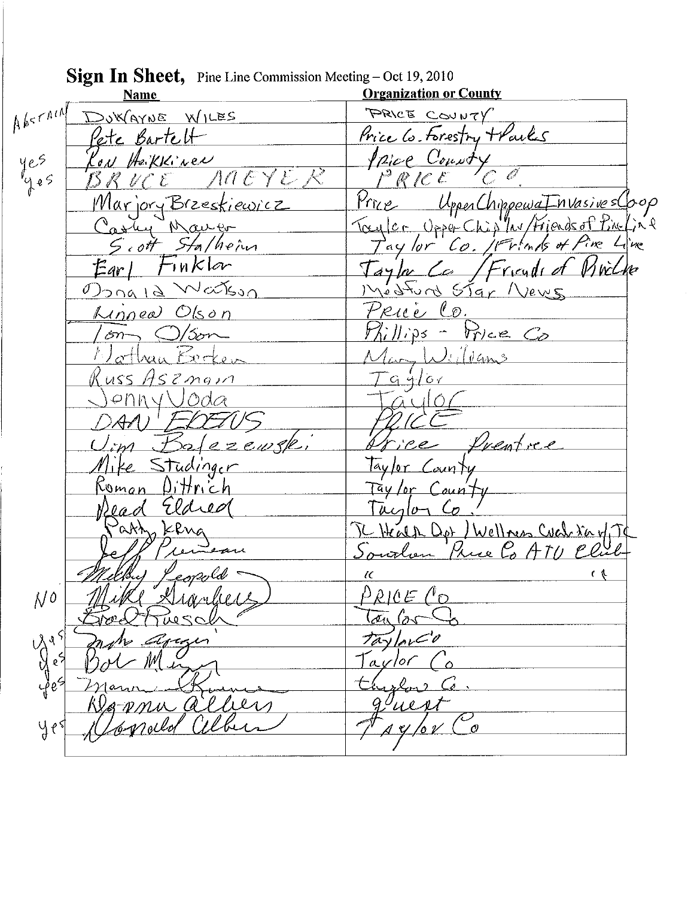Sign In Sheet, Pine Line Commission Meeting - Oct 19, 2010 **Organization or County Name**  $A^{k\leq r}$ PRICE COUNTY DUWAYNE WILES Price Co. Forestry + Parks Pete Bartelt <u>Ipice County</u> yes on Hakkinen  $ACYE$  $f^2$  R [C L .<br>4 e S UpperChippewa InvasivesCoop  $Prne$ Marjory Brzeskiewicz Toyler Upper Chip av / Friends of Pine (in P  $\mathcal{W}$  $\alpha$ Pine Line  $Sf$ a/hein Thanks of Tay lor  $\epsilon$  ott  $Co$ .  $T_Hk$ lar Vivilhe Ear l Taylor Ca  $/F$ ricydr Natson Medfund Star  $\sqrt{}$  $\theta$ ) $\alpha$ na I $\theta$  $2eV \subset$ Rue Co. Linnea Olson  $||\rangle$ Price Co /3or—  $\sim$   $\epsilon$  $\mathcal{S}$ <u>Jeffame</u>  $x_{\alpha}$   $\leftrightarrow$  $G4/6$  $S2mag$  $1155$  $zewsk$ Prentice ce Studinger laylor County Taylor County  $Diffrich$ Udreo  $40-$ TC Health Dor / Wellows Coch Navy T<br>Sourlien Price Co ATU Club ሌትት an zonerld  $\overline{\mathcal{C}}$  $\epsilon$  $\rho_{RICE}$  ( $\circ$  $N^o$  $\sigma$   $\sim$ TaylorCo ্য Tavlor  $\mathbf{c}$ na alliers ueri alber pppela  $4e<sup>5</sup>$  $44/04$  $\mathcal{O}$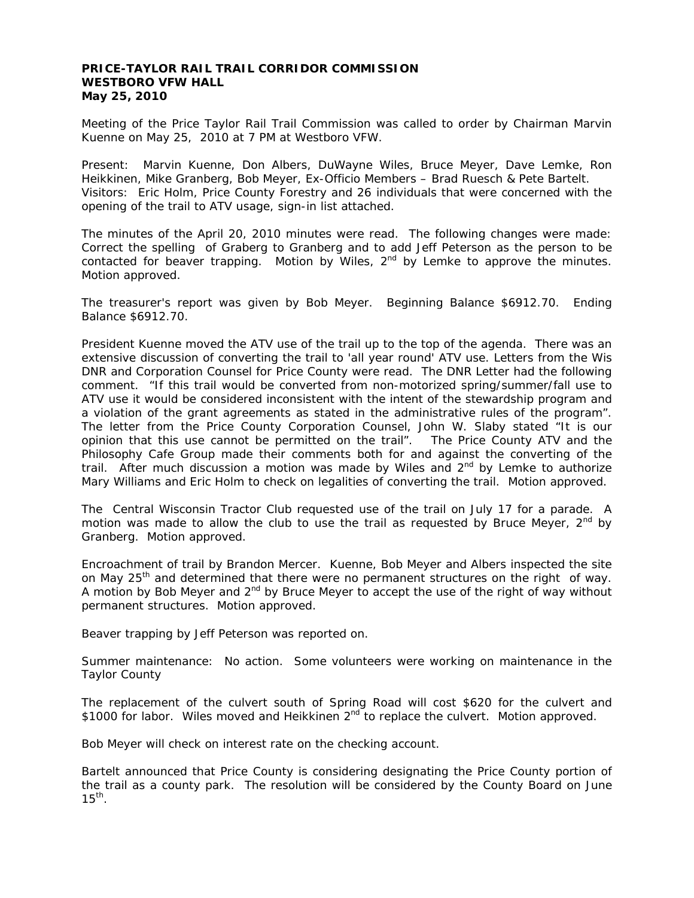#### **PRICE-TAYLOR RAIL TRAIL CORRIDOR COMMISSION WESTBORO VFW HALL May 25, 2010**

Meeting of the Price Taylor Rail Trail Commission was called to order by Chairman Marvin Kuenne on May 25, 2010 at 7 PM at Westboro VFW.

Present: Marvin Kuenne, Don Albers, DuWayne Wiles, Bruce Meyer, Dave Lemke, Ron Heikkinen, Mike Granberg, Bob Meyer, Ex-Officio Members – Brad Ruesch & Pete Bartelt. Visitors: Eric Holm, Price County Forestry and 26 individuals that were concerned with the opening of the trail to ATV usage, sign-in list attached.

The minutes of the April 20, 2010 minutes were read. The following changes were made: Correct the spelling of Graberg to Granberg and to add Jeff Peterson as the person to be contacted for beaver trapping. Motion by Wiles,  $2<sup>nd</sup>$  by Lemke to approve the minutes. Motion approved.

The treasurer's report was given by Bob Meyer. Beginning Balance \$6912.70. Ending Balance \$6912.70.

President Kuenne moved the ATV use of the trail up to the top of the agenda. There was an extensive discussion of converting the trail to 'all year round' ATV use. Letters from the Wis DNR and Corporation Counsel for Price County were read. The DNR Letter had the following comment. "If this trail would be converted from non-motorized spring/summer/fall use to ATV use it would be considered inconsistent with the intent of the stewardship program and a violation of the grant agreements as stated in the administrative rules of the program". The letter from the Price County Corporation Counsel, John W. Slaby stated "It is our opinion that this use cannot be permitted on the trail". The Price County ATV and the Philosophy Cafe Group made their comments both for and against the converting of the trail. After much discussion a motion was made by Wiles and  $2^{nd}$  by Lemke to authorize Mary Williams and Eric Holm to check on legalities of converting the trail. Motion approved.

The Central Wisconsin Tractor Club requested use of the trail on July 17 for a parade. A motion was made to allow the club to use the trail as requested by Bruce Meyer,  $2^{nd}$  by Granberg. Motion approved.

Encroachment of trail by Brandon Mercer. Kuenne, Bob Meyer and Albers inspected the site on May 25<sup>th</sup> and determined that there were no permanent structures on the right of way. A motion by Bob Meyer and  $2<sup>nd</sup>$  by Bruce Meyer to accept the use of the right of way without permanent structures. Motion approved.

Beaver trapping by Jeff Peterson was reported on.

Summer maintenance: No action. Some volunteers were working on maintenance in the Taylor County

The replacement of the culvert south of Spring Road will cost \$620 for the culvert and \$1000 for labor. Wiles moved and Heikkinen 2<sup>nd</sup> to replace the culvert. Motion approved.

Bob Meyer will check on interest rate on the checking account.

Bartelt announced that Price County is considering designating the Price County portion of the trail as a county park. The resolution will be considered by the County Board on June  $15<sup>th</sup>$ .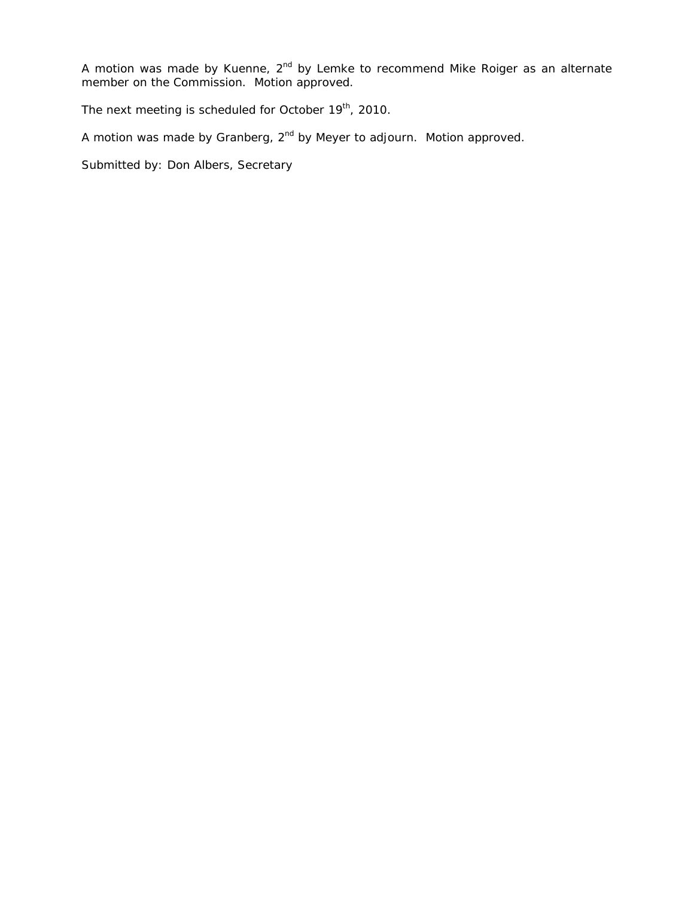A motion was made by Kuenne, 2<sup>nd</sup> by Lemke to recommend Mike Roiger as an alternate member on the Commission. Motion approved.

The next meeting is scheduled for October 19<sup>th</sup>, 2010.

A motion was made by Granberg, 2<sup>nd</sup> by Meyer to adjourn. Motion approved.

Submitted by: Don Albers, Secretary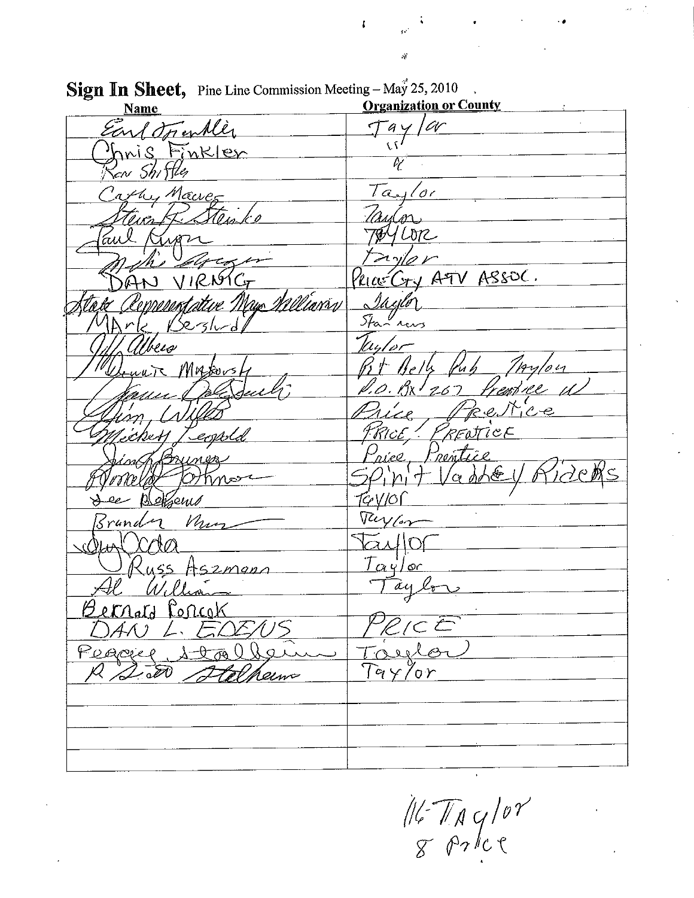**Organization or County Name**  $a$ y /ar Earl Trentler  $\overline{\mathcal{M}}$ mis Finkler Ū cw Shiftle Taylor the Marver  $L_{\text{b}72}$  $x + A F V A S S O C$ .  $\vee$  IRASC Van Milliarry ottire " M*ODOR*A Stan revs /<br>13 t beia  $4y/o$ Mnto.  $267$ 1Ze. *PRENTICE* costsl. Prentice  $\alpha$  dhæ inor ,eni*s* Turis Mur Srund  $\bigcap$ <u>Taylor</u> Hszmgn  $\overline{\alpha}$ u lr Bernard Popcok  $C$ Peaciel  $\mathcal{P}_{\mathcal{F}}$  $\sqrt{20}$  $Ta_{Y}$  $\sigma_{\bm{0}}$ aem

 $\mathbf{I}$ 

Sign In Sheet, Pine Line Commission Meeting - May 25, 2010

 $\frac{1}{8}\frac{1}{8}\frac{1}{8}\frac{1}{8}\frac{1}{10}$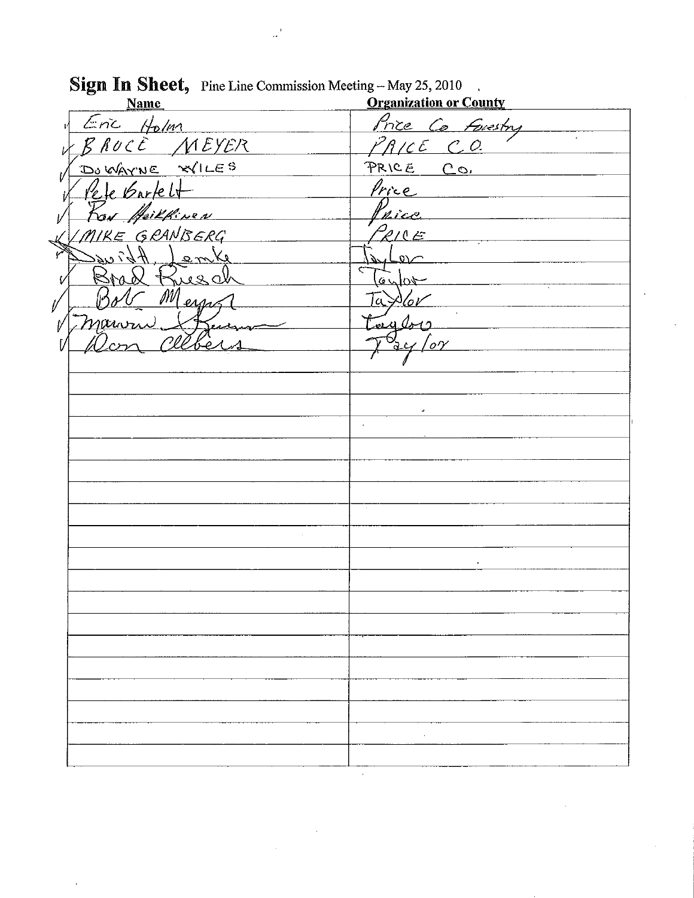| ెల<br><b>Name</b>                              | <b>Organization or County</b> |
|------------------------------------------------|-------------------------------|
| Eric Holm                                      | Price Co Forestry             |
| BRUCE MEYER                                    | $P$ <i>RICE</i> CO.           |
| DOWAYNE XILES                                  | PRICE CO.                     |
| Pele Barkelt                                   | <u>Price</u>                  |
| Roy Heilkinen                                  | Price                         |
| MIKE GRANBERG                                  | PRICE                         |
| $A$ <i>bi</i> $u \leq$<br>Jenke                |                               |
| Brad Rusch                                     | $6 \times 04$                 |
| Meyers<br>$  \gamma_A$                         | Taxlor                        |
|                                                | tough                         |
| Marvan Steer<br>Cleber<br>$U_{cr\gamma\gamma}$ | $\alpha$ / or                 |
|                                                |                               |
|                                                |                               |
|                                                |                               |
|                                                |                               |
|                                                |                               |
|                                                |                               |
|                                                |                               |
|                                                |                               |
|                                                |                               |
|                                                |                               |
|                                                |                               |
|                                                |                               |
|                                                |                               |
|                                                |                               |
|                                                |                               |
|                                                |                               |
|                                                |                               |
|                                                |                               |
|                                                |                               |
|                                                |                               |

## Sign In Sheet, Pine Line Commission Meeting - May 25, 2010

 $\sim 10^{-11}$  $\mathcal{A}$ 

 $\cdot$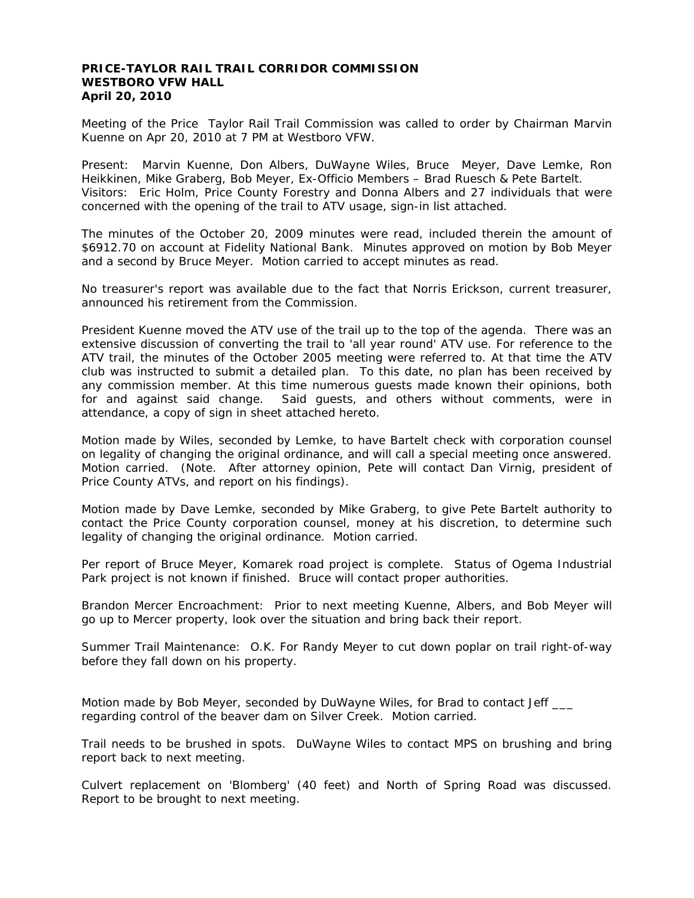#### **PRICE-TAYLOR RAIL TRAIL CORRIDOR COMMISSION WESTBORO VFW HALL April 20, 2010**

Meeting of the Price Taylor Rail Trail Commission was called to order by Chairman Marvin Kuenne on Apr 20, 2010 at 7 PM at Westboro VFW.

Present: Marvin Kuenne, Don Albers, DuWayne Wiles, Bruce Meyer, Dave Lemke, Ron Heikkinen, Mike Graberg, Bob Meyer, Ex-Officio Members – Brad Ruesch & Pete Bartelt. Visitors: Eric Holm, Price County Forestry and Donna Albers and 27 individuals that were concerned with the opening of the trail to ATV usage, sign-in list attached.

The minutes of the October 20, 2009 minutes were read, included therein the amount of \$6912.70 on account at Fidelity National Bank. Minutes approved on motion by Bob Meyer and a second by Bruce Meyer. Motion carried to accept minutes as read.

No treasurer's report was available due to the fact that Norris Erickson, current treasurer, announced his retirement from the Commission.

President Kuenne moved the ATV use of the trail up to the top of the agenda. There was an extensive discussion of converting the trail to 'all year round' ATV use. For reference to the ATV trail, the minutes of the October 2005 meeting were referred to. At that time the ATV club was instructed to submit a detailed plan. To this date, no plan has been received by any commission member. At this time numerous guests made known their opinions, both for and against said change. Said guests, and others without comments, were in attendance, a copy of sign in sheet attached hereto.

Motion made by Wiles, seconded by Lemke, to have Bartelt check with corporation counsel on legality of changing the original ordinance, and will call a special meeting once answered. Motion carried. (Note. After attorney opinion, Pete will contact Dan Virnig, president of Price County ATVs, and report on his findings).

Motion made by Dave Lemke, seconded by Mike Graberg, to give Pete Bartelt authority to contact the Price County corporation counsel, money at his discretion, to determine such legality of changing the original ordinance. Motion carried.

Per report of Bruce Meyer, Komarek road project is complete. Status of Ogema Industrial Park project is not known if finished. Bruce will contact proper authorities.

Brandon Mercer Encroachment: Prior to next meeting Kuenne, Albers, and Bob Meyer will go up to Mercer property, look over the situation and bring back their report.

Summer Trail Maintenance: O.K. For Randy Meyer to cut down poplar on trail right-of-way before they fall down on his property.

Motion made by Bob Meyer, seconded by DuWayne Wiles, for Brad to contact Jeff \_\_\_ regarding control of the beaver dam on Silver Creek. Motion carried.

Trail needs to be brushed in spots. DuWayne Wiles to contact MPS on brushing and bring report back to next meeting.

Culvert replacement on 'Blomberg' (40 feet) and North of Spring Road was discussed. Report to be brought to next meeting.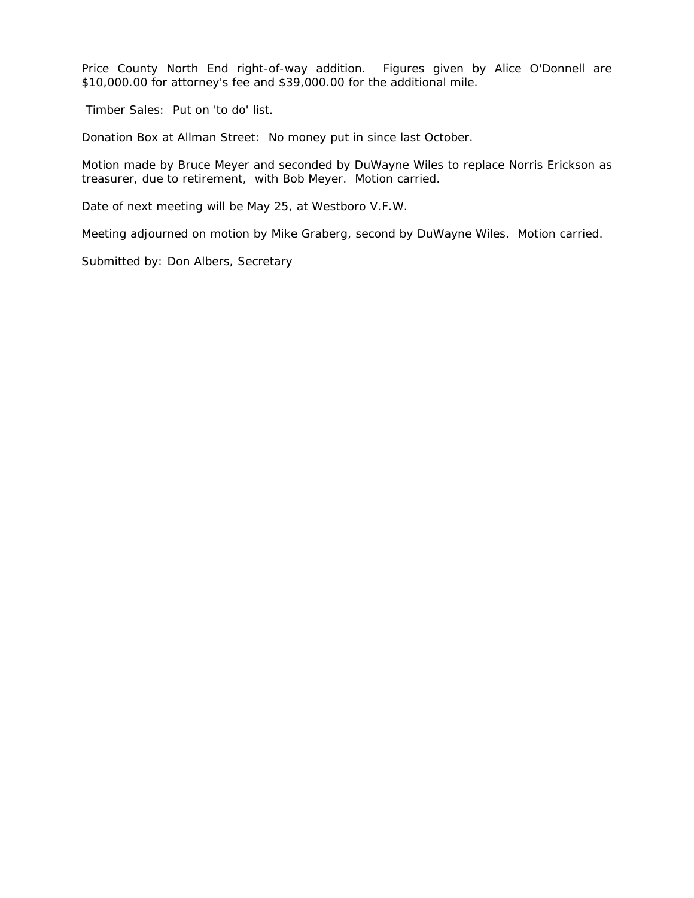Price County North End right-of-way addition. Figures given by Alice O'Donnell are \$10,000.00 for attorney's fee and \$39,000.00 for the additional mile.

Timber Sales: Put on 'to do' list.

Donation Box at Allman Street: No money put in since last October.

Motion made by Bruce Meyer and seconded by DuWayne Wiles to replace Norris Erickson as treasurer, due to retirement, with Bob Meyer. Motion carried.

Date of next meeting will be May 25, at Westboro V.F.W.

Meeting adjourned on motion by Mike Graberg, second by DuWayne Wiles. Motion carried.

Submitted by: Don Albers, Secretary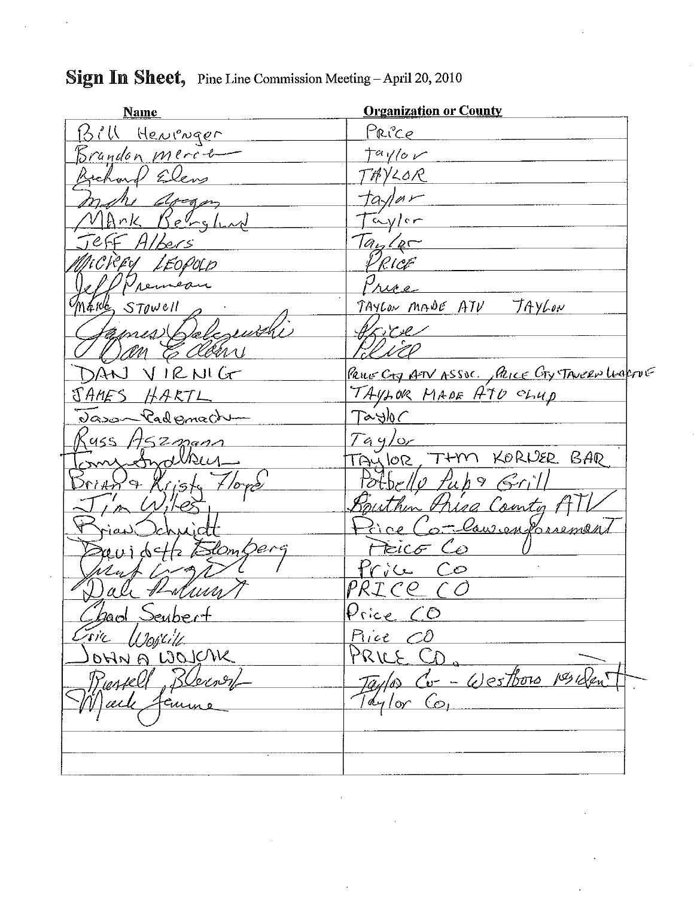#### **Organization or County Name** Herrenger BIU Price Brandon Merch  $tan\$ Bichard Elens TAYLOR tavlar Arcom  $\frac{1}{\sqrt{2}}$ IAnk Benghad  $Ta_{1/2}$ Albers PRICE MCREY LEOPUD Price Neumean  $M4R_{\rm s}$  STOWELL TAYLON MADE ATV TAYLON ames Belesewith Vore an E clean <u>Paus CTJ ATV ASSOC. Alice CTy TAVERN WA</u>FTUE AN VIRNIG TAYLOR MADE ATD CLUD TAMES -HARTL Dason Pademacht  $T$ a slo $\subset$  $Tay/or$  $455H52$ mann THM KORNER BAR TAU lor  $\mathcal{N}$ Potbr/lo Pub 9 Grill Sputhin Price County A Princ Combandonnement Preico Co SlomDerg revidette E Price Co PRICE (O ali Hoduna  $P$ rice  $CD$ 2010l Seubert Tric  $\mu$ ski $\nu$ Piice CO OHNA WOUCH PRILE CD. Taylor Co- Westboro 1es Den Ressell Blerner  $7a$ lor Co,  $\mathcal{V}|\mathit{acl}\rangle$ Janne

### Sign In Sheet, Pine Line Commission Meeting - April 20, 2010